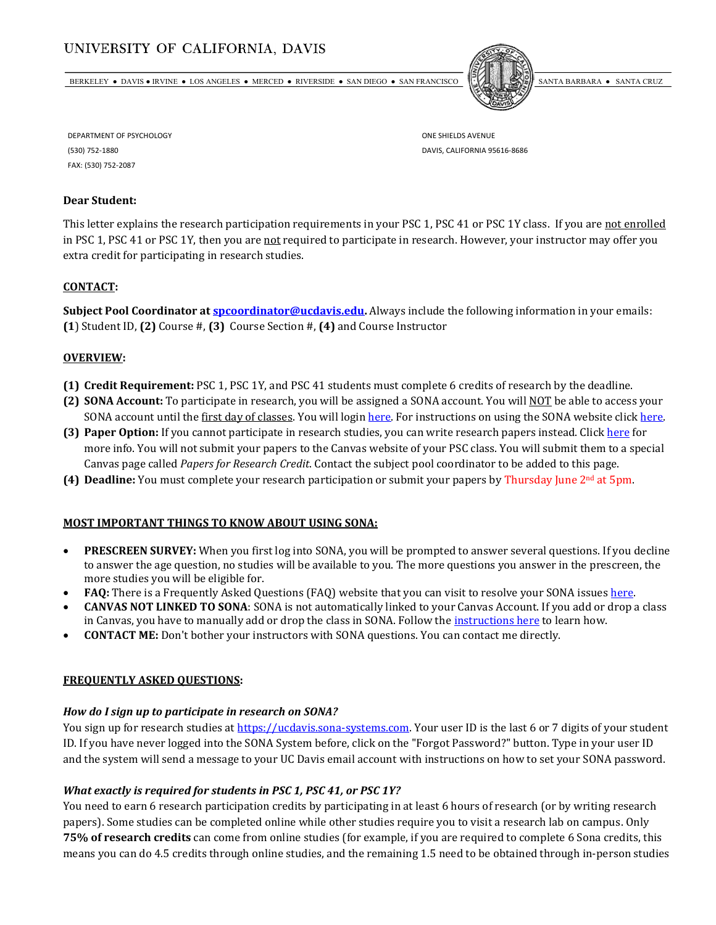# UNIVERSITY OF CALIFORNIA, DAVIS

BERKELEY ● DAVIS ● IRVINE ● LOS ANGELES ● MERCED ● RIVERSIDE ● SAN DIEGO ● SAN FRANCISCO SANTA BARBARA ● SANTA CRUZ



DEPARTMENT OF PSYCHOLOGY (530) 752-1880 FAX: (530) 752-2087

ONE SHIELDS AVENUE DAVIS, CALIFORNIA 95616-8686

## **Dear Student:**

This letter explains the research participation requirements in your PSC 1, PSC 41 or PSC 1Y class. If you are not enrolled in PSC 1, PSC 41 or PSC 1Y, then you are not required to participate in research. However, your instructor may offer you extra credit for participating in research studies.

### **CONTACT:**

**Subject Pool Coordinator at [spcoordinator@ucdavis.edu.](mailto:spcoordinator@ucdavis.edu)** Always include the following information in your emails: **(1**) Student ID, **(2)** Course #, **(3)** Course Section #, **(4)** and Course Instructor

#### **OVERVIEW:**

- **(1) Credit Requirement:** PSC 1, PSC 1Y, and PSC 41 students must complete 6 credits of research by the deadline.
- **(2) SONA Account:** To participate in research, you will be assigned a SONA account. You will NOT be able to access your SONA account until the first day of classes. You will login [here.](http://pscresearch.faculty.ucdavis.edu/wp-content/uploads/sites/112/2015/06/Sona-Systems-Detailed-Walk-Through-6.18.15.pdf) For instructions on using the SONA website click here.
- **(3) Paper Option:** If you cannot participate in research studies, you can write research papers instead. Clic[k here](http://pscresearch.faculty.ucdavis.edu/paper-option/) for more info. You will not submit your papers to the Canvas website of your PSC class. You will submit them to a special Canvas page called *Papers for Research Credit*. Contact the subject pool coordinator to be added to this page.
- **(4) Deadline:** You must complete your research participation or submit your papers by Thursday June 2nd at 5pm.

#### **MOST IMPORTANT THINGS TO KNOW ABOUT USING SONA:**

- **PRESCREEN SURVEY:** When you first log into SONA, you will be prompted to answer several questions. If you decline to answer the age question, no studies will be available to you. The more questions you answer in the prescreen, the more studies you will be eligible for.
- **FAQ:** There is a Frequently Asked Questions (FAQ) website that you can visit to resolve your SONA issue[s here.](https://pscresearch.faculty.ucdavis.edu/)
- **CANVAS NOT LINKED TO SONA**: SONA is not automatically linked to your Canvas Account. If you add or drop a class in Canvas, you have to manually add or drop the class in SONA. Follow th[e instructions here](https://pscresearch.faculty.ucdavis.edu/changing-or-removing-courses/) to learn how.
- **CONTACT ME:** Don't bother your instructors with SONA questions. You can contact me directly.

#### **FREQUENTLY ASKED QUESTIONS:**

#### *How do I sign up to participate in research on SONA?*

You sign up for research studies at [https://ucdavis.sona-systems.com.](https://ucdavis.sona-systems.com/) Your user ID is the last 6 or 7 digits of your student ID. If you have never logged into the SONA System before, click on the "Forgot Password?" button. Type in your user ID and the system will send a message to your UC Davis email account with instructions on how to set your SONA password.

#### *What exactly is required for students in PSC 1, PSC 41, or PSC 1Y?*

You need to earn 6 research participation credits by participating in at least 6 hours of research (or by writing research papers). Some studies can be completed online while other studies require you to visit a research lab on campus. Only **75% of research credits** can come from online studies (for example, if you are required to complete 6 Sona credits, this means you can do 4.5 credits through online studies, and the remaining 1.5 need to be obtained through in-person studies